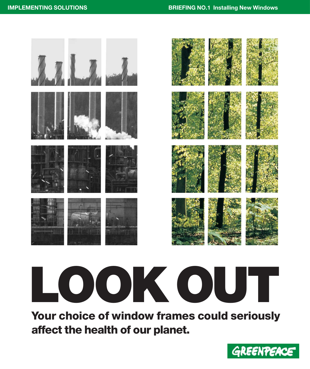### **IMPLEMENTING SOLUTIONS BRIEFING NO.1** Installing New Windows



# **LOOK OUT**

**Your choice of window frames could seriously affect the health of our planet.** 

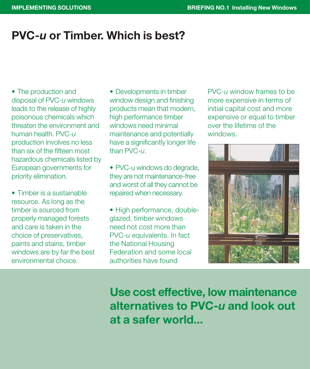## **PVC-***u* **or Timber. Which is best?**

• The production and disposal of PVC-*u* windows leads to the release of highly poisonous chemicals which threaten the environment and human health. PVC-*u* production involves no less than six of the fifteen most hazardous chemicals listed by European governments for priority elimination.

• Timber is a sustainable resource. As long as the timber is sourced from properly managed forests and care is taken in the choice of preservatives, paints and stains, timber windows are by far the best environmental choice.

• Developments in timber window design and finishing products mean that modern, high performance timber windows need minimal maintenance and potentially have a significantly longer life than PVC-*u*.

• PVC-u windows do degrade, they are not maintenance-free and worst of all they cannot be repaired when necessary.

• High performance, doubleglazed, timber windows need not cost more than PVC-*u* equivalents. In fact the National Housing Federation and some local authorities have found

PVC-*u* window frames to be more expensive in terms of initial capital cost and more expensive or equal to timber over the lifetime of the windows.



**Use cost effective, low maintenance alternatives to PVC-***u* **and look out at a safer world...**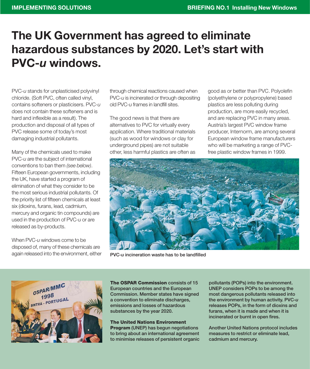## **The UK Government has agreed to eliminate hazardous substances by 2020. Let's start with PVC-***u* **windows.**

PVC-*u* stands for unplasticised polyvinyl chloride. (Soft PVC, often called vinyl, contains softeners or plasticisers. PVC-*u* does not contain these softeners and is hard and inflexible as a result). The production and disposal of all types of PVC release some of today's most damaging industrial pollutants.

Many of the chemicals used to make PVC-*u* are the subject of international conventions to ban them *(see below)*. Fifteen European governments, including the UK, have started a program of elimination of what they consider to be the most serious industrial pollutants. Of the priority list of fifteen chemicals at least six (dioxins, furans, lead, cadmium, mercury and organic tin compounds) are used in the production of PVC-*u* or are released as by-products.

When PVC-*u* windows come to be disposed of, many of these chemicals are again released into the environment, either through chemical reactions caused when PVC-*u* is incinerated or through depositing old PVC-*u* frames in landfill sites.

The good news is that there are alternatives to PVC for virtually every application. Where traditional materials (such as wood for windows or clay for underground pipes) are not suitable other, less harmful plastics are often as good as or better than PVC. Polyolefin (polyethylene or polypropylene) based plastics are less polluting during production, are more easily recycled, and are replacing PVC in many areas. Austria's largest PVC window frame producer, Internorm, are among several European window frame manufacturers who will be marketing a range of PVCfree plastic window frames in 1999.



**PVC-***u* **incineration waste has to be landfilled**



**The OSPAR Commission consists of 15 European countries and the European Commission. Member states have signed a convention to eliminate discharges, emissions and losses of hazardous substances by the year 2020.** 

**The United Nations Environment Program (UNEP) has begun negotiations to bring about an international agreement to minimise releases of persistent organic** **pollutants (POPs) into the environment. UNEP considers POPs to be among the most dangerous pollutants released into the environment by human activity. PVC-***u* **releases POPs, in the form of dioxins and furans, when it is made and when it is incinerated or burnt in open fires.** 

**Another United Nations protocol includes measures to restrict or eliminate lead, cadmium and mercury.**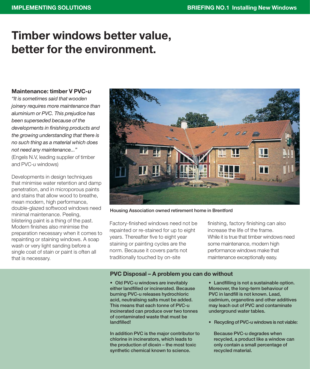## **Timber windows better value, better for the environment.**

#### **Maintenance: timber V PVC-***u*

*"It is sometimes said that wooden joinery requires more maintenance than aluminium or PVC. This prejudice has been superseded because of the developments in finishing products and the growing understanding that there is no such thing as a material which does not need any maintenance..."* (Engels N.V, leading supplier of timber

and PVC-*u* windows)

Developments in design techniques that minimise water retention and damp penetration, and in microporous paints and stains that allow wood to breathe, mean modern, high performance, double-glazed softwood windows need minimal maintenance. Peeling, blistering paint is a thing of the past. Modern finishes also minimise the preparation necessary when it comes to repainting or staining windows. A soap wash or very light sanding before a single coat of stain or paint is often all that is necessary.



**Housing Association owned retirement home in Brentford**

Factory-finished windows need not be repainted or re-stained for up to eight years. Thereafter five to eight year staining or painting cycles are the norm. Because it covers parts not traditionally touched by on-site

finishing, factory finishing can also increase the life of the frame. While it is true that timber windows need some maintenance, modern high performance windows make that maintenance exceptionally easy.

#### **PVC Disposal – A problem you can do without**

**• Old PVC-u windows are inevitably either landfilled or incinerated. Because burning PVC-u releases hydrochloric acid, neutralising salts must be added. This means that each tonne of PVC-u incinerated can produce over two tonnes of contaminated waste that must be landfilled!** 

**In addition PVC is the major contributor to chlorine in incinerators, which leads to the production of dioxin – the most toxic synthetic chemical known to science.**

**• Landfilling is not a sustainable option. Moreover, the long-term behaviour of PVC in landfill is not known. Lead, cadmium, organotins and other additives may leach out of PVC and contaminate underground water tables.**

**• Recycling of PVC-u windows is not viable:**

**Because PVC-u degrades when recycled, a product like a window can only contain a small percentage of recycled material.**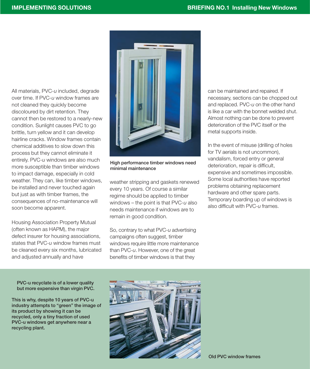All materials, PVC-*u* included, degrade over time. If PVC-*u* window frames are not cleaned they quickly become discoloured by dirt retention. They cannot then be restored to a nearly-new condition. Sunlight causes PVC to go brittle, turn yellow and it can develop hairline cracks. Window frames contain chemical additives to slow down this process but they cannot eliminate it entirely. PVC-*u* windows are also much more susceptible than timber windows to impact damage, especially in cold weather. They can, like timber windows, be installed and never touched again but just as with timber frames, the consequences of no-maintenance will soon become apparent.

Housing Association Property Mutual (often known as HAPM), the major defect insurer for housing associations, states that PVC-*u* window frames must be cleaned every six months, lubricated and adjusted annually and have



**High performance timber windows need minimal maintenance**

weather stripping and gaskets renewed every 10 years. Of course a similar regime should be applied to timber windows – the point is that PVC-*u* also needs maintenance if windows are to remain in good condition.

So, contrary to what PVC-*u* advertising campaigns often suggest, timber windows require little more maintenance than PVC-*u*. However, one of the great benefits of timber windows is that they

can be maintained and repaired. If necessary, sections can be chopped out and replaced. PVC-*u* on the other hand is like a car with the bonnet welded shut. Almost nothing can be done to prevent deterioration of the PVC itself or the metal supports inside.

In the event of misuse (drilling of holes for TV aerials is not uncommon), vandalism, forced entry or general deterioration, repair is difficult, expensive and sometimes impossible. Some local authorities have reported problems obtaining replacement hardware and other spare parts. Temporary boarding up of windows is also difficult with PVC-*u* frames.

**PVC-u recyclate is of a lower quality but more expensive than virgin PVC.**

**This is why, despite 10 years of PVC-u industry attempts to "green" the image of its product by showing it can be recycled, only a tiny fraction of used PVC-u windows get anywhere near a recycling plant.** 



**Old PVC window frames**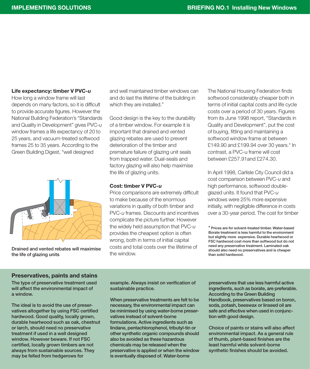#### **Life expectancy: timber V PVC-***u*

How long a window frame will last depends on many factors, so it is difficult to provide accurate figures. However the National Building Federation's "Standards and Quality in Development" gives PVC-*u* window frames a life expectancy of 20 to 25 years, and vacuum-treated softwood frames 25 to 35 years. According to the Green Building Digest, "well designed



**Drained and vented rebates will maximise the life of glazing units**

and well maintained timber windows can and do last the lifetime of the building in which they are installed."

Good design is the key to the durability of a timber window. For example it is important that drained and vented glazing rebates are used to prevent deterioration of the timber and premature failure of glazing unit seals from trapped water. Dual-seals and factory glazing will also help maximise the life of glazing units.

#### **Cost: timber V PVC-***u*

Price comparisons are extremely difficult to make because of the enormous variations in quality of both timber and PVC-*u* frames. Discounts and incentives complicate the picture further. However the widely held assumption that PVC-*u* provides the cheapest option is often wrong, both in terms of initial capital costs and total costs over the lifetime of the window.

The National Housing Federation finds softwood considerably cheaper both in terms of initial capital costs and life cycle costs over a period of 30 years. Figures from its June 1998 report, "Standards in Quality and Development", put the cost of buying, fitting and maintaining a softwood window frame at between £149.90 and £199.94 over 30 years.\* In contrast, a PVC-u frame will cost between £257.91and £274.30.

In April 1998, Carlisle City Council did a cost comparison between PVC-*u* and high performance, softwood doubleglazed units. It found that PVC-*u* windows were 25% more expensive initially, with negligible difference in costs over a 30-year period. The cost for timber

#### **Preservatives, paints and stains**

**The type of preservative treatment used will affect the environmental impact of a window.**

**The ideal is to avoid the use of preservatives altogether by using FSC certified hardwood. Good quality, locally grown, durable heartwood such as oak, chestnut or larch, should need no preservative treatment if used in a well designed window. However beware. If not FSC certified, locally grown timbers are not always from sustainable sources. They may be felled from hedgerows for**

**example. Always insist on verification of sustainable practice.**

**When preservative treatments are felt to be necessary, the environmental impact can be minimised by using water-borne preservatives instead of solvent-borne formulations. Active ingredients such as lindane, pentachlorophenol, tributyl-tin or other synthetic organic compounds should also be avoided as these hazardous chemicals may be released when the preservative is applied or when the window is eventually disposed of. Water-borne**

**preservatives that use less harmful active ingredients, such as borate, are preferable. According to the Green Building Handbook, preservatives based on boron, soda, potash, beeswax or linseed oil are safe and effective when used in conjunction with good design.** 

**Choice of paints or stains will also affect environmental impact. As a general rule of thumb, plant-based finishes are the least harmful while solvent-borne synthetic finishes should be avoided.**

**<sup>\*</sup> Prices are for solvent-treated timber. Water-based Borate treatment is less harmful to the environment but slightly more expensive. Durable heartwood or FSC hardwood cost more than softwood but do not need any preservative treatment. Laminated oak should also need no preservatives and is cheaper than solid hardwood.**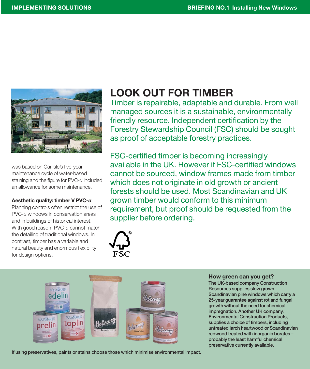

was based on Carlisle's five-year maintenance cycle of water-based staining and the figure for PVC-*u* included an allowance for some maintenance.

#### **Aesthetic quality: timber V PVC-***u*

Planning controls often restrict the use of PVC-*u* windows in conservation areas and in buildings of historical interest. With good reason. PVC-*u* cannot match the detailing of traditional windows. In contrast, timber has a variable and natural beauty and enormous flexibility for design options.

## **LOOK OUT FOR TIMBER**

Timber is repairable, adaptable and durable. From well managed sources it is a sustainable, environmentally friendly resource. Independent certification by the Forestry Stewardship Council (FSC) should be sought as proof of acceptable forestry practices.

FSC-certified timber is becoming increasingly available in the UK. However if FSC-certified windows cannot be sourced, window frames made from timber which does not originate in old growth or ancient forests should be used. Most Scandinavian and UK grown timber would conform to this minimum requirement, but proof should be requested from the supplier before ordering.





**If using preservatives, paints or stains choose those which minimise environmental impact.**

#### **How green can you get?**

**The UK-based company Construction Resources supplies slow grown Scandinavian pine windows which carry a 25-year guarantee against rot and fungal growth without the need for chemical impregnation. Another UK company, Environmental Construction Products, supplies a choice of timbers, including untreated larch heartwood or Scandinavian redwood treated with inorganic borates – probably the least harmful chemical preservative currently available.**